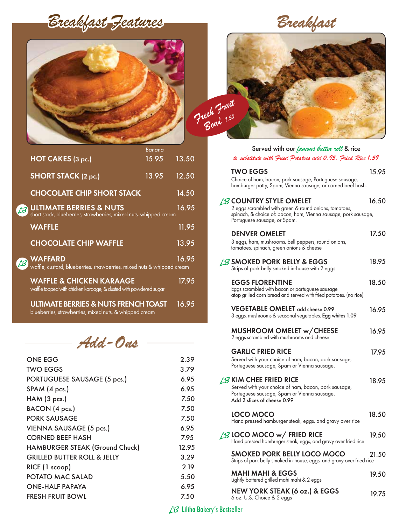*Breakfast Features*



|                                                                                                         | Banana |       |
|---------------------------------------------------------------------------------------------------------|--------|-------|
| HOT CAKES (3 pc.)                                                                                       | 15.95  | 13.50 |
| <b>SHORT STACK (2 pc.)</b>                                                                              | 13.95  | 12.50 |
| <b>CHOCOLATE CHIP SHORT STACK</b>                                                                       |        | 14.50 |
| <b>ULTIMATE BERRIES &amp; NUTS</b><br>short stack, blueberries, strawberries, mixed nuts, whipped cream |        | 16.95 |
| <b>WAFFLE</b>                                                                                           |        | 11.95 |
| <b>CHOCOLATE CHIP WAFFLE</b>                                                                            |        | 13.95 |
| <b>WAFFARD</b><br>waffle, custard, blueberries, strawberries, mixed nuts & whipped cream                |        | 16.95 |
| <b>WAFFLE &amp; CHICKEN KARAAGE</b><br>waffle topped with chicken karaage, & dusted with powdered sugar |        | 17.95 |
| <b>ULTIMATE BERRIES &amp; NUTS FRENCH TOAST</b>                                                         |        | 16.95 |

blueberries, strawberries, mixed nuts, & whipped cream

# *Add-Ons*

| ONE EGG                                | 2.39  |
|----------------------------------------|-------|
| <b>TWO EGGS</b>                        | 3.79  |
| PORTUGUESE SAUSAGE (5 pcs.)            | 6.95  |
| SPAM (4 pcs.)                          | 6.95  |
| HAM (3 pcs.)                           | 7.50  |
| BACON (4 pcs.)                         | 7.50  |
| <b>PORK SAUSAGE</b>                    | 7.50  |
| VIENNA SAUSAGE (5 pcs.)                | 6.95  |
| <b>CORNED BEEF HASH</b>                | 7.95  |
| <b>HAMBURGER STEAK (Ground Chuck)</b>  | 12.95 |
| <b>GRILLED BUTTER ROLL &amp; JELLY</b> | 3.29  |
| RICE (1 scoop)                         | 2.19  |
| POTATO MAC SALAD                       | 5.50  |
| <b>ONE-HALF PAPAYA</b>                 | 6.95  |
| <b>FRESH FRUIT BOWL</b>                | 7.50  |
|                                        |       |

*Breakfast* 



| Served with our <i>famous butter roll</i> & rice                                                                                                                                         |       |
|------------------------------------------------------------------------------------------------------------------------------------------------------------------------------------------|-------|
| to substitute with Fried Potatoes add 0.95. Fried Rice 1.59                                                                                                                              |       |
| <b>TWO EGGS</b><br>Choice of ham, bacon, pork sausage, Portuguese sausage,<br>hamburger patty, Spam, Vienna sausage, or corned beef hash.                                                | 15.95 |
| $\beta$ country style omelet<br>2 eggs scrambled with green & round onions, tomatoes,<br>spinach, & choice of: bacon, ham, Vienna sausage, pork sausage,<br>Portuguese sausage, or Spam. | 16.50 |
| <b>DENVER OMELET</b><br>3 eggs, ham, mushrooms, bell peppers, round onions,<br>tomatoes, spinach, green onions & cheese                                                                  | 17.50 |
| $\beta$ smoked pork belly & EGGS<br>Strips of pork belly smoked in-house with 2 eggs                                                                                                     | 18.95 |
| <b>EGGS FLORENTINE</b><br>Eggs scrambled with bacon or portuguese sausage<br>atop grilled corn bread and served with fried potatoes. (no rice)                                           | 18.50 |
| VEGETABLE OMELET add cheese 0.99<br>3 eggs, mushrooms & seasonal vegetables. Egg whites 1.09                                                                                             | 16.95 |
| <b>MUSHROOM OMELET w/CHEESE</b><br>2 eggs scrambled with mushrooms and cheese                                                                                                            | 16.95 |
| <b>GARLIC FRIED RICE</b><br>Served with your choice of ham, bacon, pork sausage,<br>Portuguese sausage, Spam or Vienna sausage.                                                          | 17.95 |
| $\beta$ KIM CHEE FRIED RICE<br>Served with your choice of ham, bacon, pork sausage,<br>Portuguese sausage, Spam or Vienna sausage.<br>Add 2 slices of cheese 0.99                        | 18.95 |
| LOCO MOCO<br>Hand pressed hamburger steak, eggs, and gravy over rice                                                                                                                     | 18.50 |
| $\cancel{13}$ LOCO MOCO w/ FRIED RICE<br>Hand pressed hamburger steak, eggs, and gravy over fried rice                                                                                   | 19.50 |
| <b>SMOKED PORK BELLY LOCO MOCO</b><br>Strips of pork belly smoked in-house, eggs, and gravy over fried rice                                                                              | 21.50 |
| <b>MAHI MAHI &amp; EGGS</b><br>Lightly battered grilled mahi mahi & 2 eggs                                                                                                               | 19.50 |
| <b>NEW YORK STEAK (6 oz.) &amp; EGGS</b>                                                                                                                                                 | 19.75 |

LB Liliha Bakery's Bestseller

6 oz. U.S. Choice & 2 eggs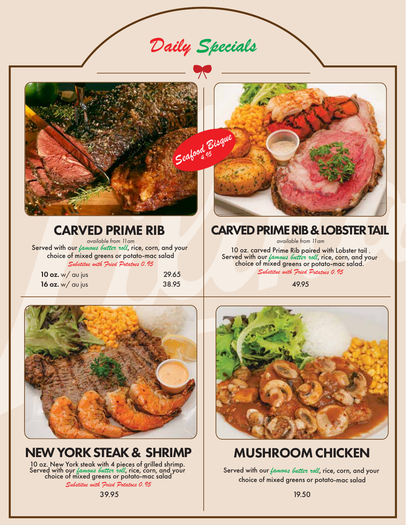*Daily Specials*



# CARVED PRIME RIB

*available from 11am* Served with our *famous butter roll*, rice, corn, and your choice of mixed greens or potato-mac salad *Substitue with Fried Potatoes 0.95*

**10 oz.** w/ au jus 29.65 16 oz. w/ au jus 38.95



## CARVED PRIME RIB & LOBSTER TAIL

*available from 11am*

10 oz. carved Prime Rib paired with Lobster tail .<br>Served with our *famous butter roll*, rice, corn, and your choice of mixed greens or potato-mac salad. *Substitue with Fried Potatoes 0.95*

49.95



# NEW YORK STEAK & SHRIMP

10 oz. New York steak with 4 pieces of grilled shrimp. Served with our *famous butter roll*, rice, corn, and your choice of mixed greens or potato-mac salad

*Substitue with Fried Potatoes 0.95*



# MUSHROOM CHICKEN

Served with our *famous butter roll*, rice, corn, and your choice of mixed greens or potato-mac salad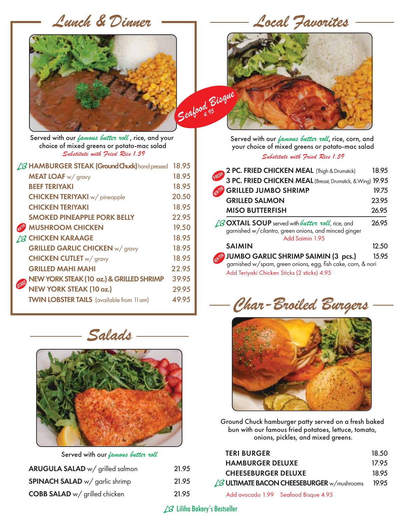*Lunch & Dinner* 

 *Local Favorites*



*Seafood Bisque 4.95*

 *Substitute with Fried Rice 1.59* Served with our *famous butter roll* , rice, and your choice of mixed greens or potato-mac salad

| <b>B HAMBURGER STEAK (Ground Chuck)</b> hand pressed | 18.95 |
|------------------------------------------------------|-------|
| <b>MEAT LOAF</b> w/ gravy                            | 18.95 |
| <b>BEEF TERIYAKI</b>                                 | 18.95 |
| <b>CHICKEN TERIYAKI</b> w/ pineapple                 | 20.50 |
| <b>CHICKEN TERIYAKI</b>                              | 18.95 |
| <b>SMOKED PINEAPPLE PORK BELLY</b>                   | 22.95 |
| <b>MUSHROOM CHICKEN</b>                              | 19.50 |
| <b>/B CHICKEN KARAAGE</b>                            | 18.95 |
| <b>GRILLED GARLIC CHICKEN w/ gravy</b>               | 18.95 |
| <b>CHICKEN CUTLET</b> w/ gravy                       | 18.95 |
| <b>GRILLED MAHI MAHI</b>                             | 22.95 |
| NEW YORK STEAK (10 oz.) & GRILLED SHRIMP             | 39.95 |
| <b>NEW YORK STEAK (10 oz.)</b>                       | 29.95 |
| <b>TWIN LOBSTER TAILS</b> (available from 11 am)     | 49.95 |
|                                                      |       |



Served with our *famous butter roll*

| ARUGULA SALAD w/ grilled salmon       | 21.95 |
|---------------------------------------|-------|
| <b>SPINACH SALAD</b> w/ garlic shrimp | 21.95 |
| <b>COBB SALAD</b> w/ grilled chicken  | 21.95 |

*Substitute with Fried Rice 1.59* Served with our *famous butter roll*, rice, corn, and your choice of mixed greens or potato-mac salad

| 18.95                                                                                                           |
|-----------------------------------------------------------------------------------------------------------------|
| 3 PC. FRIED CHICKEN MEAL (Breast, Drumstick, & Wing) 19.95                                                      |
| 19.75                                                                                                           |
| 23.95                                                                                                           |
| 26.95                                                                                                           |
| 26.95                                                                                                           |
| 12.50                                                                                                           |
| JUMBO GARLIC SHRIMP SAIMIN (3 pcs.) 1:<br>garnished w/spam, green onions, egg, fish cake, corn, & nori<br>15.95 |
|                                                                                                                 |

*Char-Broiled Burgers*



Ground Chuck hamburger patty served on a fresh baked bun with our famous fried potatoes, lettuce, tomato, onions, pickles, and mixed greens.

| <b>TERI BURGER</b>                                 | 18.50 |
|----------------------------------------------------|-------|
| <b>HAMBURGER DELUXE</b>                            | 17.95 |
| <b>CHEESEBURGER DELUXE</b>                         | 18.95 |
| $\angle$ B ULTIMATE BACON CHEESEBURGER w/mushrooms | 19.95 |
| Add avocado 1.99 Seafood Bisque 4.95               |       |

LB Liliha Bakery's Bestseller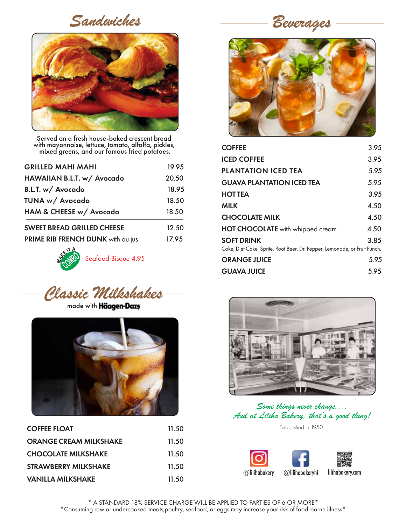*Sandwiches*



Served on a fresh house-baked crescent bread with mayonnaise, lettuce, tomato, alfalfa, pickles, mixed greens, and our famous fried potatoes.

| <b>GRILLED MAHI MAHI</b>          | 19.95 |
|-----------------------------------|-------|
| HAWAIIAN B.L.T. w/ Avocado        | 20.50 |
| B.L.T. w/ Avocado                 | 18.95 |
| TUNA w/ Avocado                   | 18.50 |
| HAM & CHEESE w/ Avocado           | 18.50 |
| <b>SWEET BREAD GRILLED CHEESE</b> | 12.50 |
| PRIME RIB FRENCH DUNK with au jus | 17.95 |



*Classic Milkshakes*

made with **Häagen-Dazs** 



| <b>COFFEE FLOAT</b>           | 11.50 |
|-------------------------------|-------|
| <b>ORANGE CREAM MILKSHAKE</b> | 11.50 |
| <b>CHOCOLATE MILKSHAKE</b>    | 11.50 |
| STRAWBERRY MILKSHAKE          | 11.50 |
| <b>VANILLA MILKSHAKE</b>      | 11.50 |

*Beverages*



| <b>COFFEE</b>                                                                                  | 3.95 |
|------------------------------------------------------------------------------------------------|------|
| <b>ICED COFFEE</b>                                                                             | 3.95 |
| <b>PLANTATION ICED TEA</b>                                                                     | 5.95 |
| <b>GUAVA PLANTATION ICED TEA</b>                                                               | 5.95 |
| <b>HOT TEA</b>                                                                                 | 3.95 |
| <b>MILK</b>                                                                                    | 4.50 |
| <b>CHOCOLATE MILK</b>                                                                          | 4.50 |
| <b>HOT CHOCOLATE</b> with whipped cream                                                        | 4.50 |
| <b>SOFT DRINK</b><br>Coke, Diet Coke, Sprite, Root Beer, Dr. Pepper, Lemonade, or Fruit Punch. | 3.85 |
| <b>ORANGE JUICE</b>                                                                            | 5.95 |
| <b>GUAVA JUICE</b>                                                                             | 5.95 |
|                                                                                                |      |



*Some things never change.... And at Liliha Bakery, that's a good thing!*

Established in 1950